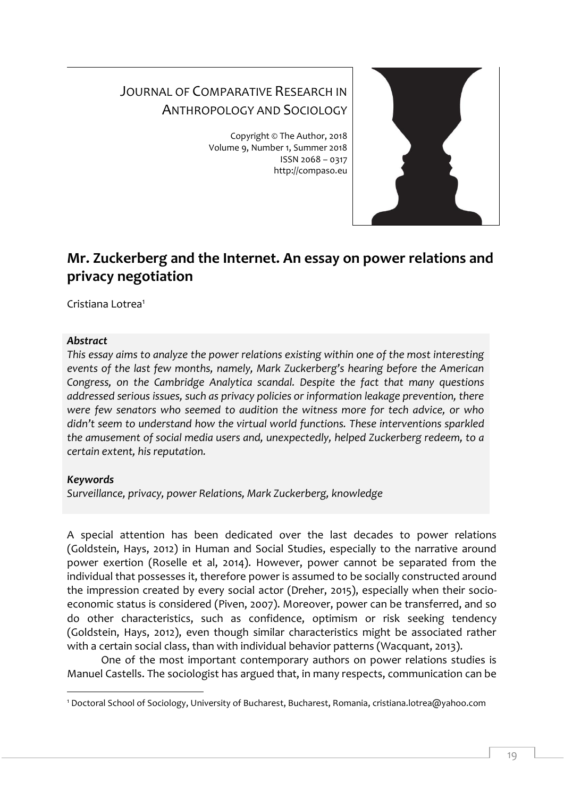# JOURNAL OF COMPARATIVE RESEARCH IN ANTHROPOLOGY AND SOCIOLOGY

Copyright © The Author, 2018 Volume 9, Number 1, Summer 2018 ISSN 2068 – 0317 http://compaso.eu



## **Mr. Zuckerberg and the Internet. An essay on power relations and privacy negotiation**

Cristiana Lotrea<sup>1</sup>

#### *Abstract*

*This essay aims to analyze the power relations existing within one of the most interesting events of the last few months, namely, Mark Zuckerberg's hearing before the American Congress, on the Cambridge Analytica scandal. Despite the fact that many questions addressed serious issues, such as privacy policies or information leakage prevention, there were few senators who seemed to audition the witness more for tech advice, or who didn't seem to understand how the virtual world functions. These interventions sparkled the amusement of social media users and, unexpectedly, helped Zuckerberg redeem, to a certain extent, his reputation.*

### *Keywords*

-

*Surveillance, privacy, power Relations, Mark Zuckerberg, knowledge*

A special attention has been dedicated over the last decades to power relations (Goldstein, Hays, 2012) in Human and Social Studies, especially to the narrative around power exertion (Roselle et al, 2014). However, power cannot be separated from the individual that possesses it, therefore power is assumed to be socially constructed around the impression created by every social actor (Dreher, 2015), especially when their socioeconomic status is considered (Piven, 2007). Moreover, power can be transferred, and so do other characteristics, such as confidence, optimism or risk seeking tendency (Goldstein, Hays, 2012), even though similar characteristics might be associated rather with a certain social class, than with individual behavior patterns (Wacquant, 2013).

One of the most important contemporary authors on power relations studies is Manuel Castells. The sociologist has argued that, in many respects, communication can be

<sup>1</sup> Doctoral School of Sociology, University of Bucharest, Bucharest, Romania, cristiana.lotrea@yahoo.com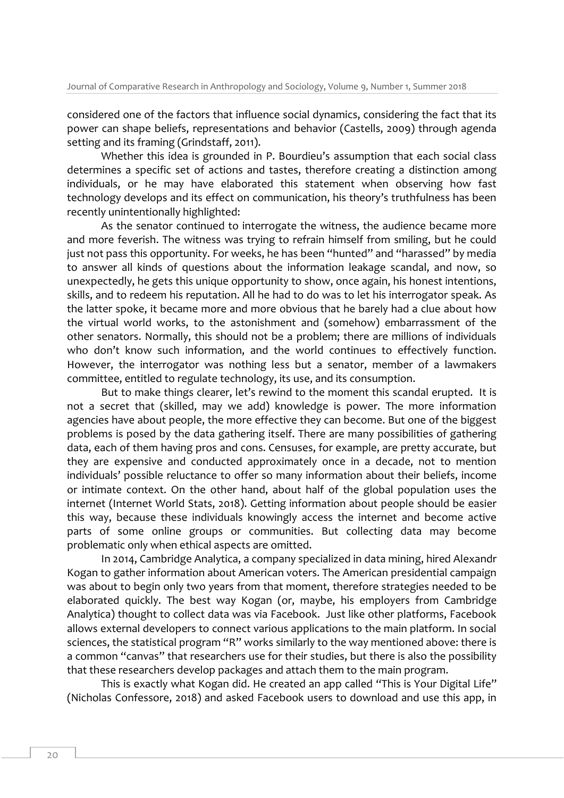considered one of the factors that influence social dynamics, considering the fact that its power can shape beliefs, representations and behavior (Castells, 2009) through agenda setting and its framing (Grindstaff, 2011).

Whether this idea is grounded in P. Bourdieu's assumption that each social class determines a specific set of actions and tastes, therefore creating a distinction among individuals, or he may have elaborated this statement when observing how fast technology develops and its effect on communication, his theory's truthfulness has been recently unintentionally highlighted:

As the senator continued to interrogate the witness, the audience became more and more feverish. The witness was trying to refrain himself from smiling, but he could just not pass this opportunity. For weeks, he has been "hunted" and "harassed" by media to answer all kinds of questions about the information leakage scandal, and now, so unexpectedly, he gets this unique opportunity to show, once again, his honest intentions, skills, and to redeem his reputation. All he had to do was to let his interrogator speak. As the latter spoke, it became more and more obvious that he barely had a clue about how the virtual world works, to the astonishment and (somehow) embarrassment of the other senators. Normally, this should not be a problem; there are millions of individuals who don't know such information, and the world continues to effectively function. However, the interrogator was nothing less but a senator, member of a lawmakers committee, entitled to regulate technology, its use, and its consumption.

But to make things clearer, let's rewind to the moment this scandal erupted. It is not a secret that (skilled, may we add) knowledge is power. The more information agencies have about people, the more effective they can become. But one of the biggest problems is posed by the data gathering itself. There are many possibilities of gathering data, each of them having pros and cons. Censuses, for example, are pretty accurate, but they are expensive and conducted approximately once in a decade, not to mention individuals' possible reluctance to offer so many information about their beliefs, income or intimate context. On the other hand, about half of the global population uses the internet (Internet World Stats, 2018). Getting information about people should be easier this way, because these individuals knowingly access the internet and become active parts of some online groups or communities. But collecting data may become problematic only when ethical aspects are omitted.

In 2014, Cambridge Analytica, a company specialized in data mining, hired Alexandr Kogan to gather information about American voters. The American presidential campaign was about to begin only two years from that moment, therefore strategies needed to be elaborated quickly. The best way Kogan (or, maybe, his employers from Cambridge Analytica) thought to collect data was via Facebook. Just like other platforms, Facebook allows external developers to connect various applications to the main platform. In social sciences, the statistical program "R" works similarly to the way mentioned above: there is a common "canvas" that researchers use for their studies, but there is also the possibility that these researchers develop packages and attach them to the main program.

This is exactly what Kogan did. He created an app called "This is Your Digital Life" (Nicholas Confessore, 2018) and asked Facebook users to download and use this app, in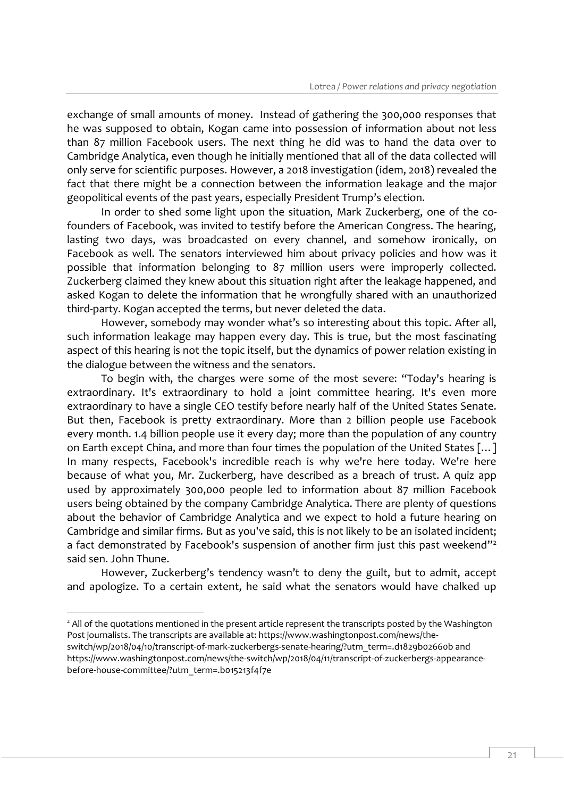exchange of small amounts of money. Instead of gathering the 300,000 responses that he was supposed to obtain, Kogan came into possession of information about not less than 87 million Facebook users. The next thing he did was to hand the data over to Cambridge Analytica, even though he initially mentioned that all of the data collected will only serve for scientific purposes. However, a 2018 investigation (idem, 2018) revealed the fact that there might be a connection between the information leakage and the major geopolitical events of the past years, especially President Trump's election.

In order to shed some light upon the situation, Mark Zuckerberg, one of the cofounders of Facebook, was invited to testify before the American Congress. The hearing, lasting two days, was broadcasted on every channel, and somehow ironically, on Facebook as well. The senators interviewed him about privacy policies and how was it possible that information belonging to 87 million users were improperly collected. Zuckerberg claimed they knew about this situation right after the leakage happened, and asked Kogan to delete the information that he wrongfully shared with an unauthorized third-party. Kogan accepted the terms, but never deleted the data.

However, somebody may wonder what's so interesting about this topic. After all, such information leakage may happen every day. This is true, but the most fascinating aspect of this hearing is not the topic itself, but the dynamics of power relation existing in the dialogue between the witness and the senators.

To begin with, the charges were some of the most severe: "Today's hearing is extraordinary. It's extraordinary to hold a joint committee hearing. It's even more extraordinary to have a single CEO testify before nearly half of the United States Senate. But then, Facebook is pretty extraordinary. More than 2 billion people use Facebook every month. 1.4 billion people use it every day; more than the population of any country on Earth except China, and more than four times the population of the United States […] In many respects, Facebook's incredible reach is why we're here today. We're here because of what you, Mr. Zuckerberg, have described as a breach of trust. A quiz app used by approximately 300,000 people led to information about 87 million Facebook users being obtained by the company Cambridge Analytica. There are plenty of questions about the behavior of Cambridge Analytica and we expect to hold a future hearing on Cambridge and similar firms. But as you've said, this is not likely to be an isolated incident; a fact demonstrated by Facebook's suspension of another firm just this past weekend"<sup>2</sup> said sen. John Thune.

However, Zuckerberg's tendency wasn't to deny the guilt, but to admit, accept and apologize. To a certain extent, he said what the senators would have chalked up

<sup>-</sup> <sup>2</sup> All of the quotations mentioned in the present article represent the transcripts posted by the Washington Post journalists. The transcripts are available at: https://www.washingtonpost.com/news/the-

switch/wp/2018/04/10/transcript-of-mark-zuckerbergs-senate-hearing/?utm\_term=.d1829b02660b and https://www.washingtonpost.com/news/the-switch/wp/2018/04/11/transcript-of-zuckerbergs-appearancebefore-house-committee/?utm\_term=.b015213f4f7e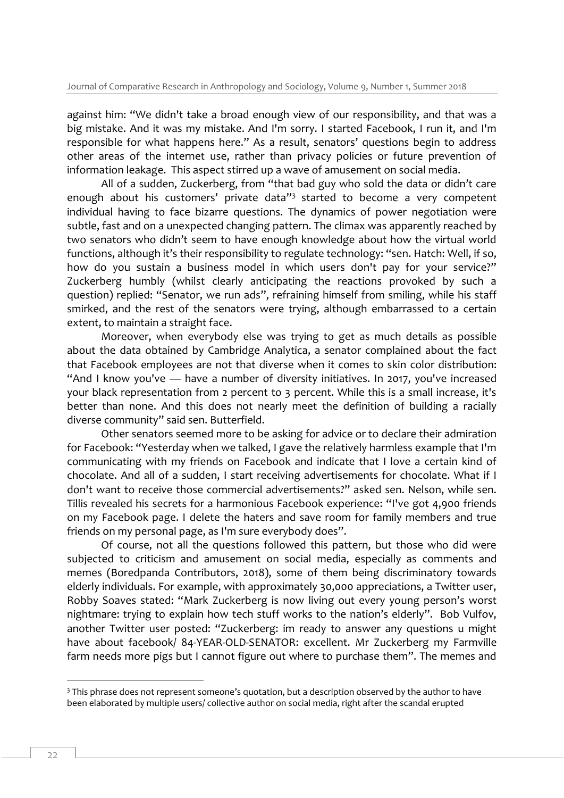against him: "We didn't take a broad enough view of our responsibility, and that was a big mistake. And it was my mistake. And I'm sorry. I started Facebook, I run it, and I'm responsible for what happens here." As a result, senators' questions begin to address other areas of the internet use, rather than privacy policies or future prevention of information leakage. This aspect stirred up a wave of amusement on social media.

All of a sudden, Zuckerberg, from "that bad guy who sold the data or didn't care enough about his customers' private data"<sup>3</sup> started to become a very competent individual having to face bizarre questions. The dynamics of power negotiation were subtle, fast and on a unexpected changing pattern. The climax was apparently reached by two senators who didn't seem to have enough knowledge about how the virtual world functions, although it's their responsibility to regulate technology: "sen. Hatch: Well, if so, how do you sustain a business model in which users don't pay for your service?" Zuckerberg humbly (whilst clearly anticipating the reactions provoked by such a question) replied: "Senator, we run ads", refraining himself from smiling, while his staff smirked, and the rest of the senators were trying, although embarrassed to a certain extent, to maintain a straight face.

Moreover, when everybody else was trying to get as much details as possible about the data obtained by Cambridge Analytica, a senator complained about the fact that Facebook employees are not that diverse when it comes to skin color distribution: "And I know you've — have a number of diversity initiatives. In 2017, you've increased your black representation from 2 percent to 3 percent. While this is a small increase, it's better than none. And this does not nearly meet the definition of building a racially diverse community" said sen. Butterfield.

Other senators seemed more to be asking for advice or to declare their admiration for Facebook: "Yesterday when we talked, I gave the relatively harmless example that I'm communicating with my friends on Facebook and indicate that I love a certain kind of chocolate. And all of a sudden, I start receiving advertisements for chocolate. What if I don't want to receive those commercial advertisements?" asked sen. Nelson, while sen. Tillis revealed his secrets for a harmonious Facebook experience: "I've got 4,900 friends on my Facebook page. I delete the haters and save room for family members and true friends on my personal page, as I'm sure everybody does".

Of course, not all the questions followed this pattern, but those who did were subjected to criticism and amusement on social media, especially as comments and memes (Boredpanda Contributors, 2018), some of them being discriminatory towards elderly individuals. For example, with approximately 30,000 appreciations, a Twitter user, Robby Soaves stated: "Mark Zuckerberg is now living out every young person's worst nightmare: trying to explain how tech stuff works to the nation's elderly". Bob Vulfov, another Twitter user posted: "Zuckerberg: im ready to answer any questions u might have about facebook/ 84-YEAR-OLD-SENATOR: excellent. Mr Zuckerberg my Farmville farm needs more pigs but I cannot figure out where to purchase them". The memes and

-

<sup>&</sup>lt;sup>3</sup> This phrase does not represent someone's quotation, but a description observed by the author to have been elaborated by multiple users/ collective author on social media, right after the scandal erupted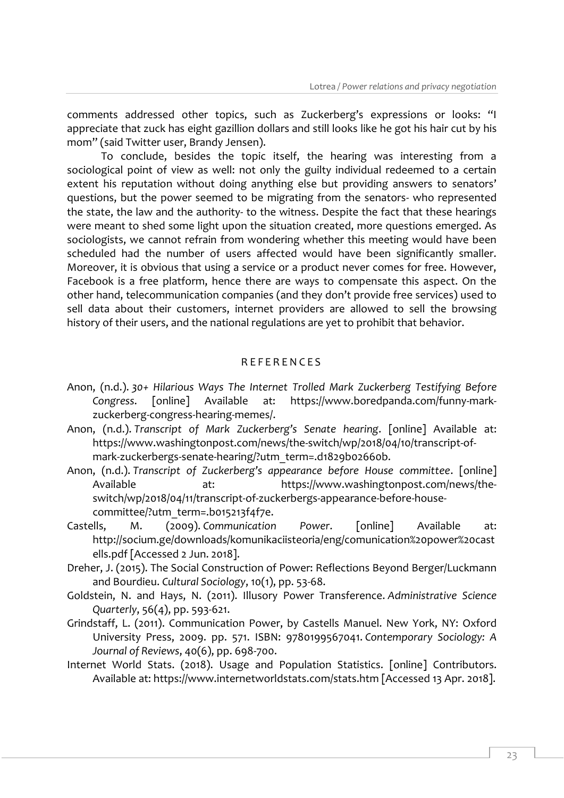comments addressed other topics, such as Zuckerberg's expressions or looks: "I appreciate that zuck has eight gazillion dollars and still looks like he got his hair cut by his mom" (said Twitter user, Brandy Jensen).

To conclude, besides the topic itself, the hearing was interesting from a sociological point of view as well: not only the guilty individual redeemed to a certain extent his reputation without doing anything else but providing answers to senators' questions, but the power seemed to be migrating from the senators- who represented the state, the law and the authority- to the witness. Despite the fact that these hearings were meant to shed some light upon the situation created, more questions emerged. As sociologists, we cannot refrain from wondering whether this meeting would have been scheduled had the number of users affected would have been significantly smaller. Moreover, it is obvious that using a service or a product never comes for free. However, Facebook is a free platform, hence there are ways to compensate this aspect. On the other hand, telecommunication companies (and they don't provide free services) used to sell data about their customers, internet providers are allowed to sell the browsing history of their users, and the national regulations are yet to prohibit that behavior.

#### R E F E R E N C E S

- Anon, (n.d.). *30+ Hilarious Ways The Internet Trolled Mark Zuckerberg Testifying Before Congress*. [online] Available at: https://www.boredpanda.com/funny-markzuckerberg-congress-hearing-memes/.
- Anon, (n.d.). *Transcript of Mark Zuckerberg's Senate hearing*. [online] Available at: https://www.washingtonpost.com/news/the-switch/wp/2018/04/10/transcript-ofmark-zuckerbergs-senate-hearing/?utm\_term=.d1829b02660b.
- Anon, (n.d.). *Transcript of Zuckerberg's appearance before House committee*. [online] Available at: https://www.washingtonpost.com/news/theswitch/wp/2018/04/11/transcript-of-zuckerbergs-appearance-before-housecommittee/?utm\_term=.b015213f4f7e.
- Castells, M. (2009). *Communication Power*. [online] Available at: http://socium.ge/downloads/komunikaciisteoria/eng/comunication%20power%20cast ells.pdf [Accessed 2 Jun. 2018].
- Dreher, J. (2015). The Social Construction of Power: Reflections Beyond Berger/Luckmann and Bourdieu. *Cultural Sociology*, 10(1), pp. 53-68.
- Goldstein, N. and Hays, N. (2011). Illusory Power Transference. *Administrative Science Quarterly*, 56(4), pp. 593-621.
- Grindstaff, L. (2011). Communication Power, by Castells Manuel. New York, NY: Oxford University Press, 2009. pp. 571. ISBN: 9780199567041. *Contemporary Sociology: A Journal of Reviews*, 40(6), pp. 698-700.
- Internet World Stats. (2018). Usage and Population Statistics. [online] Contributors. Available at: https://www.internetworldstats.com/stats.htm [Accessed 13 Apr. 2018].